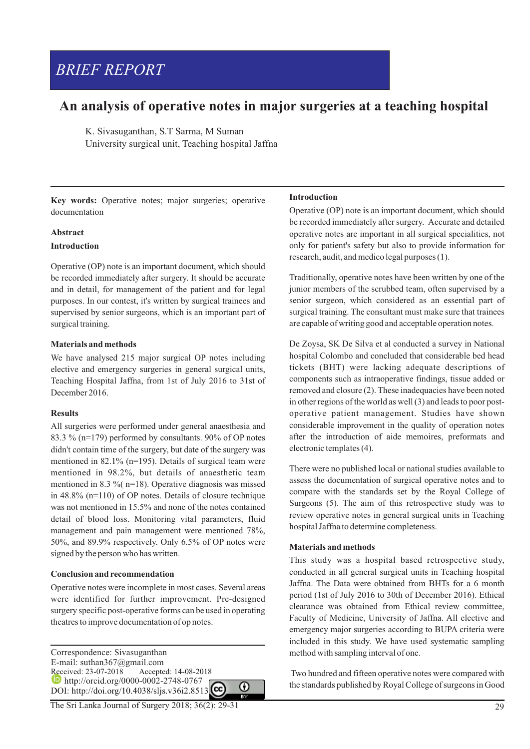# *BRIEF REPORT*

# **An analysis of operative notes in major surgeries at a teaching hospital**

K. Sivasuganthan, S.T Sarma, M Suman University surgical unit, Teaching hospital Jaffna

**Key words:** Operative notes; major surgeries; operative documentation

#### **Abstract**

#### **Introduction**

Operative (OP) note is an important document, which should be recorded immediately after surgery. It should be accurate and in detail, for management of the patient and for legal purposes. In our contest, it's written by surgical trainees and supervised by senior surgeons, which is an important part of surgical training.

# **Materials and methods**

We have analysed 215 major surgical OP notes including elective and emergency surgeries in general surgical units, Teaching Hospital Jaffna, from 1st of July 2016 to 31st of December 2016.

# **Results**

All surgeries were performed under general anaesthesia and 83.3 % (n=179) performed by consultants. 90% of OP notes didn't contain time of the surgery, but date of the surgery was mentioned in 82.1% (n=195). Details of surgical team were mentioned in 98.2%, but details of anaesthetic team mentioned in 8.3 %( n=18). Operative diagnosis was missed in 48.8% (n=110) of OP notes. Details of closure technique was not mentioned in 15.5% and none of the notes contained detail of blood loss. Monitoring vital parameters, fluid management and pain management were mentioned 78%, 50%, and 89.9% respectively. Only 6.5% of OP notes were signed by the person who has written.

# **Conclusion and recommendation**

Operative notes were incomplete in most cases. Several areas were identified for further improvement. Pre-designed surgery specific post-operative forms can be used in operating theatres to improve documentation of op notes.

Correspondence: Sivasuganthan E-mail: suthan367@gmail.com<br>Received: 23-07-2018 Accepte Accepted: 14-08-2018 **http://orcid.org/0000-0002-2748-0767** 0 DOI: http://doi.org/10.4038/sljs.v36i2.8513

#### The Sri Lanka Journal of Surgery 2018; 36(2): 29-31

# **Introduction**

Operative (OP) note is an important document, which should be recorded immediately after surgery. Accurate and detailed operative notes are important in all surgical specialities, not only for patient's safety but also to provide information for research, audit, and medico legal purposes (1).

Traditionally, operative notes have been written by one of the junior members of the scrubbed team, often supervised by a senior surgeon, which considered as an essential part of surgical training. The consultant must make sure that trainees are capable of writing good and acceptable operation notes.

De Zoysa, SK De Silva et al conducted a survey in National hospital Colombo and concluded that considerable bed head tickets (BHT) were lacking adequate descriptions of components such as intraoperative findings, tissue added or removed and closure (2). These inadequacies have been noted in other regions of the world as well (3) and leads to poor postoperative patient management. Studies have shown considerable improvement in the quality of operation notes after the introduction of aide memoires, preformats and electronic templates (4).

There were no published local or national studies available to assess the documentation of surgical operative notes and to compare with the standards set by the Royal College of Surgeons (5). The aim of this retrospective study was to review operative notes in general surgical units in Teaching hospital Jaffna to determine completeness.

# **Materials and methods**

This study was a hospital based retrospective study, conducted in all general surgical units in Teaching hospital Jaffna. The Data were obtained from BHTs for a 6 month period (1st of July 2016 to 30th of December 2016). Ethical clearance was obtained from Ethical review committee, Faculty of Medicine, University of Jaffna. All elective and emergency major surgeries according to BUPA criteria were included in this study. We have used systematic sampling method with sampling interval of one.

Two hundred and fifteen operative notes were compared with the standards published by Royal College of surgeons in Good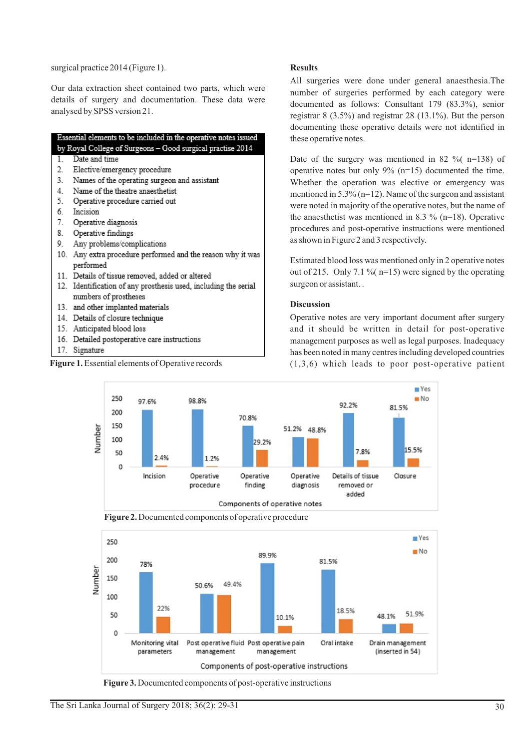surgical practice 2014 (Figure 1).

Our data extraction sheet contained two parts, which were details of surgery and documentation. These data were analysed by SPSS version 21.

# Essential elements to be included in the operative notes issued by Royal College of Surgeons - Good surgical practise 2014

- $\overline{1}$ Date and time
- $\mathfrak{D}$ Elective/emergency procedure
- 3. Names of the operating surgeon and assistant
- Name of the theatre anaesthetist  $\overline{4}$
- 5. Operative procedure carried out
- 6 Incision
- $7<sub>1</sub>$ Operative diagnosis
- 8 Operative findings
- ٥ Any problems/complications
- 10. Any extra procedure performed and the reason why it was performed
- 11. Details of tissue removed, added or altered
- 12. Identification of any prosthesis used, including the serial numbers of prostheses
- 13. and other implanted materials
- 14. Details of closure technique
- 15. Anticipated blood loss
- 16. Detailed postoperative care instructions
- 17. Signature



#### **Results**

All surgeries were done under general anaesthesia.The number of surgeries performed by each category were documented as follows: Consultant 179 (83.3%), senior registrar 8 (3.5%) and registrar 28 (13.1%). But the person documenting these operative details were not identified in these operative notes.

Date of the surgery was mentioned in 82  $\%$  (n=138) of operative notes but only 9% (n=15) documented the time. Whether the operation was elective or emergency was mentioned in 5.3% (n=12). Name of the surgeon and assistant were noted in majority of the operative notes, but the name of the anaesthetist was mentioned in 8.3  $\%$  (n=18). Operative procedures and post-operative instructions were mentioned as shown in Figure 2 and 3 respectively.

Estimated blood loss was mentioned only in 2 operative notes out of 215. Only 7.1 % ( $n=15$ ) were signed by the operating surgeon or assistant. .

#### **Discussion**

Operative notes are very important document after surgery and it should be written in detail for post-operative management purposes as well as legal purposes. Inadequacy has been noted in many centres including developed countries **Figure 1.** Essential elements of Operative records (1,3,6) which leads to poor post-operative patient







**Figure 3.** Documented components of post-operative instructions